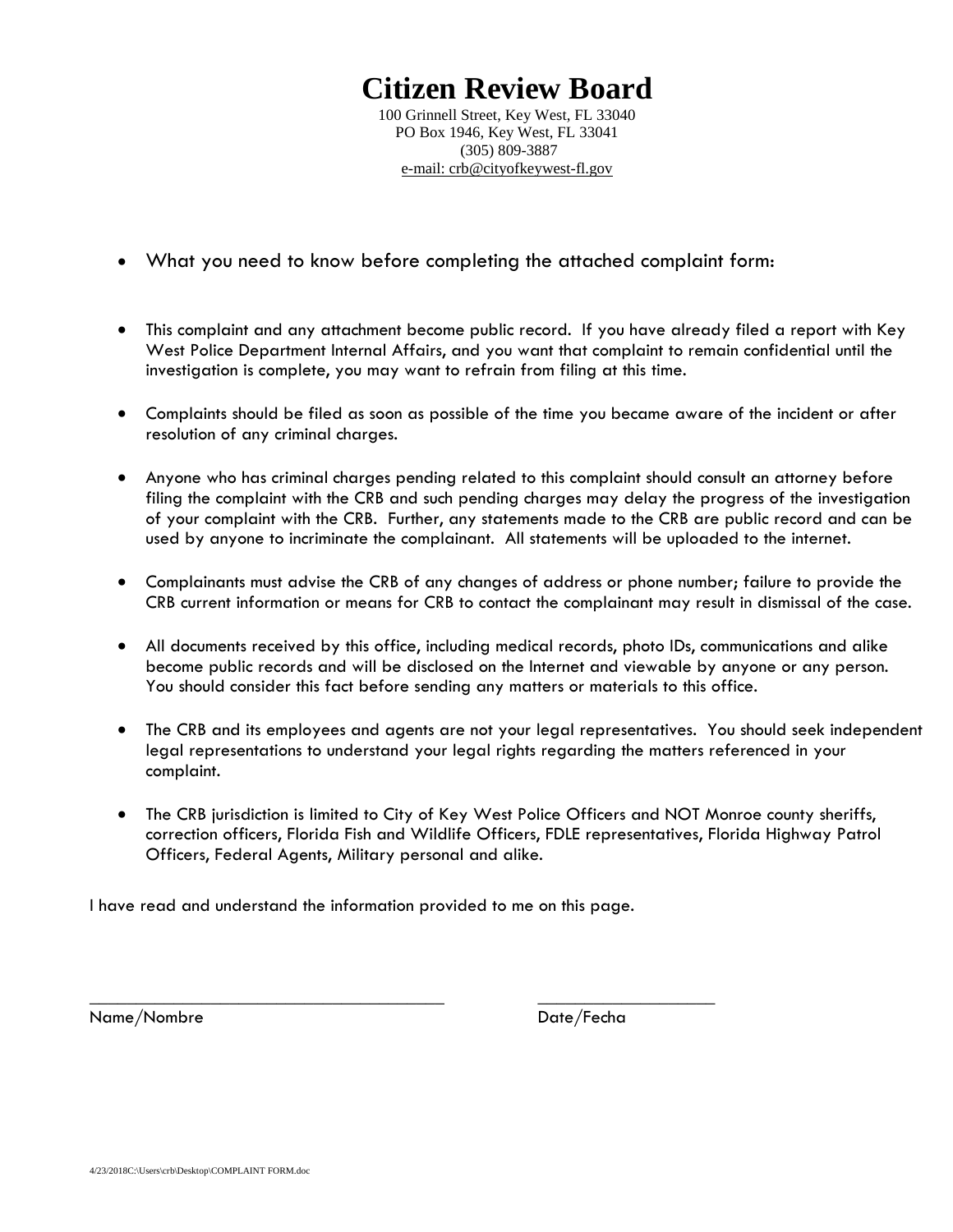# **Citizen Review Board**

100 Grinnell Street, Key West, FL 33040 PO Box 1946, Key West, FL 33041 (305) 809-3887 e-mail: crb@cityofkeywest-fl.gov

- What you need to know before completing the attached complaint form:
- This complaint and any attachment become public record. If you have already filed a report with Key West Police Department Internal Affairs, and you want that complaint to remain confidential until the investigation is complete, you may want to refrain from filing at this time.
- Complaints should be filed as soon as possible of the time you became aware of the incident or after resolution of any criminal charges.
- Anyone who has criminal charges pending related to this complaint should consult an attorney before filing the complaint with the CRB and such pending charges may delay the progress of the investigation of your complaint with the CRB. Further, any statements made to the CRB are public record and can be used by anyone to incriminate the complainant. All statements will be uploaded to the internet.
- Complainants must advise the CRB of any changes of address or phone number; failure to provide the CRB current information or means for CRB to contact the complainant may result in dismissal of the case.
- All documents received by this office, including medical records, photo IDs, communications and alike become public records and will be disclosed on the Internet and viewable by anyone or any person. You should consider this fact before sending any matters or materials to this office.
- The CRB and its employees and agents are not your legal representatives. You should seek independent legal representations to understand your legal rights regarding the matters referenced in your complaint.
- The CRB jurisdiction is limited to City of Key West Police Officers and NOT Monroe county sheriffs, correction officers, Florida Fish and Wildlife Officers, FDLE representatives, Florida Highway Patrol Officers, Federal Agents, Military personal and alike.

I have read and understand the information provided to me on this page.

\_\_\_\_\_\_\_\_\_\_\_\_\_\_\_\_\_\_\_\_\_\_\_\_\_\_\_\_\_\_\_\_\_\_\_\_\_\_ \_\_\_\_\_\_\_\_\_\_\_\_\_\_\_\_\_\_\_

Name/Nombre Date/Fecha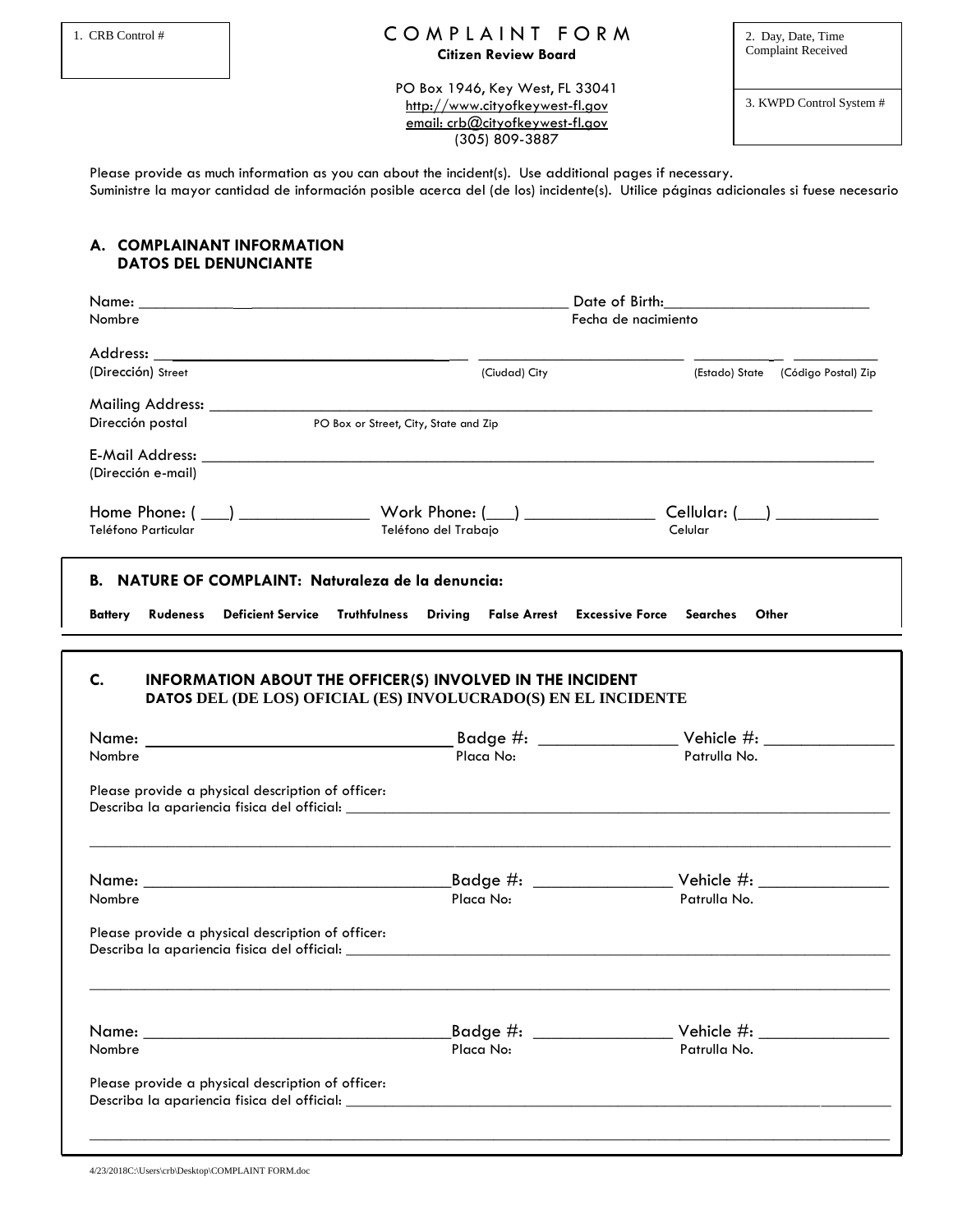### 1. CRB Control #  $CO M PL A IN T. FO RM$  2. Day, Date, Time **Citizen Review Board**

Complaint Received

PO Box 1946, Key West, FL 33041 http://www.cityofkeywest-fl.gov email: crb@cityofkeywest-fl.gov (305) 809-3887

3. KWPD Control System #

Please provide as much information as you can about the incident(s). Use additional pages if necessary. Suministre la mayor cantidad de información posible acerca del (de los) incidente(s). Utilice páginas adicionales si fuese necesario

#### **A. COMPLAINANT INFORMATION DATOS DEL DENUNCIANTE**

|                                                   | Date of Birth:                        |                                                                                                                                    |                                    |  |  |
|---------------------------------------------------|---------------------------------------|------------------------------------------------------------------------------------------------------------------------------------|------------------------------------|--|--|
| Nombre                                            |                                       |                                                                                                                                    | Fecha de nacimiento                |  |  |
|                                                   |                                       |                                                                                                                                    |                                    |  |  |
| (Dirección) Street                                |                                       | (Ciudad) City                                                                                                                      | (Estado) State (Código Postal) Zip |  |  |
|                                                   |                                       |                                                                                                                                    |                                    |  |  |
| Dirección postal                                  |                                       | PO Box or Street, City, State and Zip                                                                                              |                                    |  |  |
| (Dirección e-mail)                                |                                       |                                                                                                                                    |                                    |  |  |
| Teléfono Particular                               |                                       | Teléfono del Trabajo                                                                                                               | Celular                            |  |  |
|                                                   |                                       | <b>B. NATURE OF COMPLAINT: Naturaleza de la denuncia:</b>                                                                          |                                    |  |  |
| <b>Rudeness</b><br>Battery                        | <b>Deficient Service Truthfulness</b> | Driving False Arrest Excessive Force Searches                                                                                      | Other                              |  |  |
|                                                   |                                       |                                                                                                                                    |                                    |  |  |
| C.                                                |                                       | <b>INFORMATION ABOUT THE OFFICER(S) INVOLVED IN THE INCIDENT</b><br>DATOS DEL (DE LOS) OFICIAL (ES) INVOLUCRADO(S) EN EL INCIDENTE |                                    |  |  |
| Nombre                                            |                                       | Placa No:                                                                                                                          | Patrulla No.                       |  |  |
| Please provide a physical description of officer: |                                       |                                                                                                                                    |                                    |  |  |
|                                                   |                                       |                                                                                                                                    |                                    |  |  |
| Nombre                                            |                                       | Placa No:                                                                                                                          | Patrulla No.                       |  |  |
| Please provide a physical description of officer: |                                       |                                                                                                                                    |                                    |  |  |
|                                                   |                                       |                                                                                                                                    |                                    |  |  |
|                                                   |                                       |                                                                                                                                    |                                    |  |  |
| Nombre                                            |                                       | Placa No:                                                                                                                          | Patrulla No.                       |  |  |

4/23/2018C:\Users\crb\Desktop\COMPLAINT FORM.doc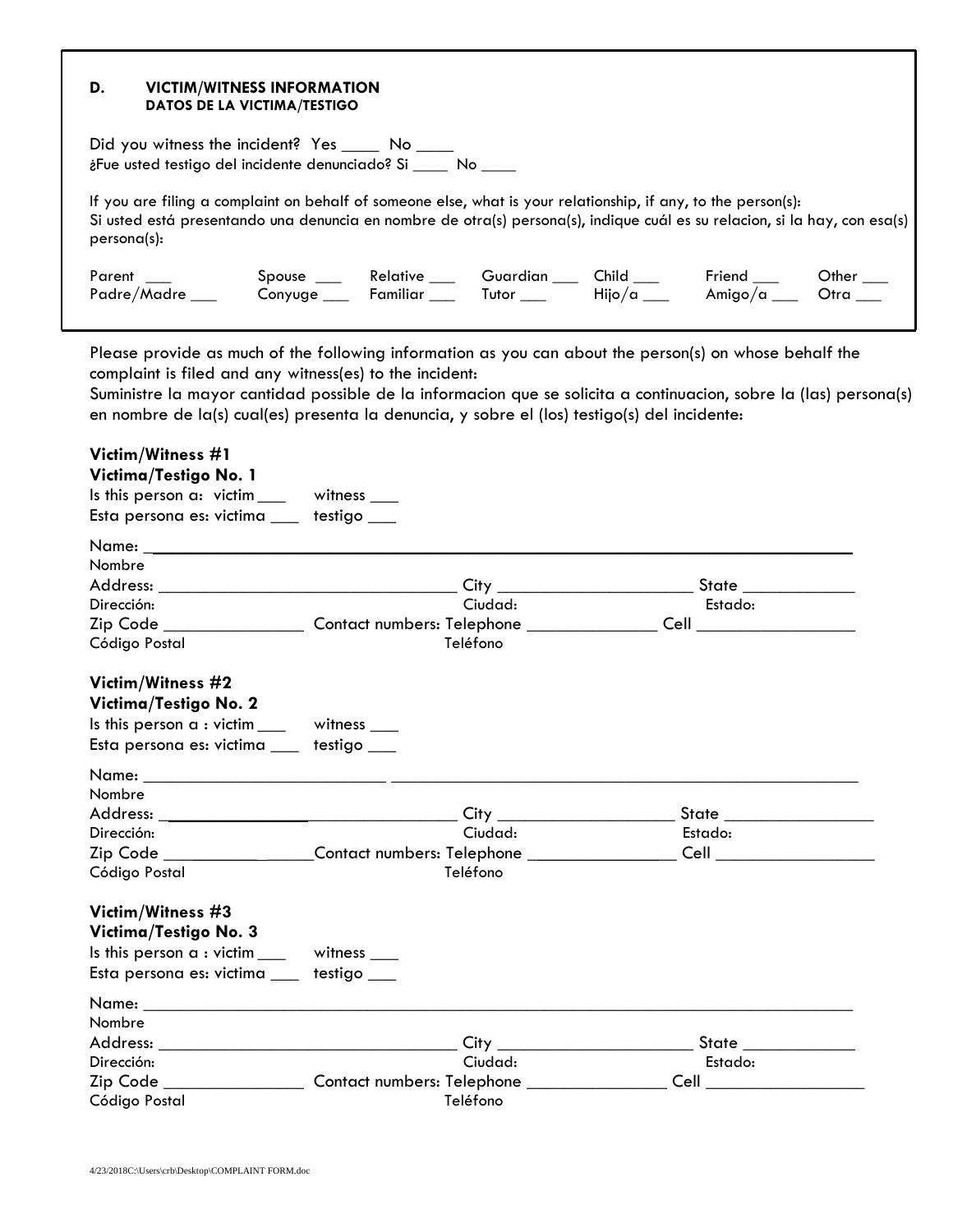#### **D. VICTIM/WITNESS INFORMATION DATOS DE LA VICTIMA/TESTIGO**

Did you witness the incident? Yes \_\_\_\_\_ No \_\_\_\_\_ ¿Fue usted testigo del incidente denunciado? Si \_\_\_\_ No \_\_\_\_

If you are filing a complaint on behalf of someone else, what is your relationship, if any, to the person(s): Si usted está presentando una denuncia en nombre de otra(s) persona(s), indique cuál es su relacion, si la hay, con esa(s) persona(s):

| Parent          | Spouse      | Relative | Guardian | Child              | Friend                  | Other |
|-----------------|-------------|----------|----------|--------------------|-------------------------|-------|
| Padre/Madre ___ | Conyuge ___ | Familiar | Tutor    | Hijo $/\alpha$ ___ | Amigo/a _______________ | Otra  |
|                 |             |          |          |                    |                         |       |

Please provide as much of the following information as you can about the person(s) on whose behalf the complaint is filed and any witness(es) to the incident:

Suministre la mayor cantidad possible de la informacion que se solicita a continuacion, sobre la (las) persona(s) en nombre de la(s) cual(es) presenta la denuncia, y sobre el (los) testigo(s) del incidente:

| Victim/Witness #1                                            |                                                                                  |                                 |
|--------------------------------------------------------------|----------------------------------------------------------------------------------|---------------------------------|
| Victima/Testigo No. 1                                        |                                                                                  |                                 |
| Is this person a: victim____ witness ___                     |                                                                                  |                                 |
| Esta persona es: victima ___ testigo ___                     |                                                                                  |                                 |
|                                                              |                                                                                  |                                 |
| Nombre                                                       |                                                                                  |                                 |
|                                                              |                                                                                  | State                           |
| Dirección:                                                   | Ciudad:                                                                          | Estado:                         |
|                                                              |                                                                                  |                                 |
| Código Postal                                                | Teléfono                                                                         |                                 |
| Victim/Witness #2                                            |                                                                                  |                                 |
| Victima/Testigo No. 2                                        |                                                                                  |                                 |
| Is this person a : victim _____ witness ___                  |                                                                                  |                                 |
| Esta persona es: victima ___ testigo ___                     |                                                                                  |                                 |
|                                                              |                                                                                  |                                 |
| Nombre                                                       |                                                                                  |                                 |
|                                                              |                                                                                  |                                 |
| Dirección:                                                   | Ciudad:                                                                          | Estado:                         |
|                                                              | Zip Code _________________Contact numbers: Telephone _______________             | Cell _________________          |
| Código Postal                                                | Teléfono                                                                         |                                 |
| Victim/Witness #3                                            |                                                                                  |                                 |
| Victima/Testigo No. 3                                        |                                                                                  |                                 |
| Is this person $a : \text{victim} \_\_\_\$ witness $\_\_\_\$ |                                                                                  |                                 |
| Esta persona es: victima __ testigo __                       |                                                                                  |                                 |
|                                                              |                                                                                  |                                 |
| Nombre                                                       |                                                                                  |                                 |
|                                                              |                                                                                  | State ______________            |
| Dirección:                                                   | Ciudad:                                                                          | Estado:                         |
|                                                              | Zip Code _____________________Contact numbers: Telephone _______________________ | <b>Cell Cell Cell Cell Cell</b> |
| Código Postal                                                | Teléfono                                                                         |                                 |